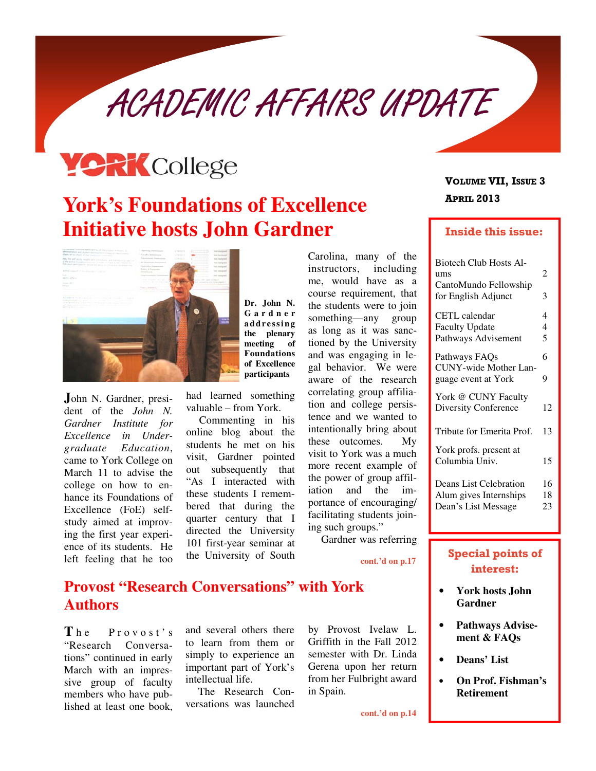ACADEMIC AFFAIRS UPDATE

# **YORK** College

## **York's Foundations of Excellence Initiative hosts John Gardner**



**J**ohn N. Gardner, president of the *John N. Gardner Institute for Excellence in Undergraduate Education*, came to York College on March 11 to advise the college on how to enhance its Foundations of Excellence (FoE) selfstudy aimed at improving the first year experience of its students. He left feeling that he too

**Dr. John N. G a r d n e r a d d r e s s i n g the plenary meeting of Foundations of Excellence participants**

had learned something valuable – from York.

Commenting in his online blog about the students he met on his visit, Gardner pointed out subsequently that "As I interacted with these students I remembered that during the quarter century that I directed the University 101 first-year seminar at the University of South

Carolina, many of the instructors, including me, would have as a course requirement, that the students were to join something—any group as long as it was sanctioned by the University and was engaging in legal behavior. We were aware of the research correlating group affiliation and college persistence and we wanted to intentionally bring about these outcomes. My visit to York was a much more recent example of the power of group affiliation and the importance of encouraging/ facilitating students joining such groups."

Gardner was referring

**cont.'d on p.17** 

#### **Provost "Research Conversations" with York Authors**

The Provost's "Research Conversations" continued in early March with an impressive group of faculty members who have published at least one book, and several others there to learn from them or simply to experience an important part of York's intellectual life.

The Research Conversations was launched by Provost Ivelaw L. Griffith in the Fall 2012 semester with Dr. Linda Gerena upon her return from her Fulbright award in Spain.

**cont.'d on p.14** 

#### APRIL 2013 VOLUME VII, ISSUE 3

#### Inside this issue:

| <b>Biotech Club Hosts Al-</b>            |                |
|------------------------------------------|----------------|
| ums                                      | 2              |
| CantoMundo Fellowship                    |                |
| for English Adjunct                      | 3              |
| <b>CETL</b> calendar                     | 4              |
| <b>Faculty Update</b>                    | $\overline{4}$ |
| Pathways Advisement                      | 5              |
| Pathways FAQs                            | 6              |
| CUNY-wide Mother Lan-                    |                |
| guage event at York                      | 9              |
| York @ CUNY Faculty                      |                |
| <b>Diversity Conference</b>              | 12             |
| Tribute for Emerita Prof.                | 13             |
|                                          |                |
| York profs. present at<br>Columbia Univ. | 15             |
|                                          |                |
| Deans List Celebration                   | 16             |
| Alum gives Internships                   | 18             |
| Dean's List Message                      | 23             |
|                                          |                |

#### Special points of interest:

- **York hosts John Gardner**
- **Pathways Advisement & FAQs**
- **Deans' List**
- **On Prof. Fishman's Retirement**